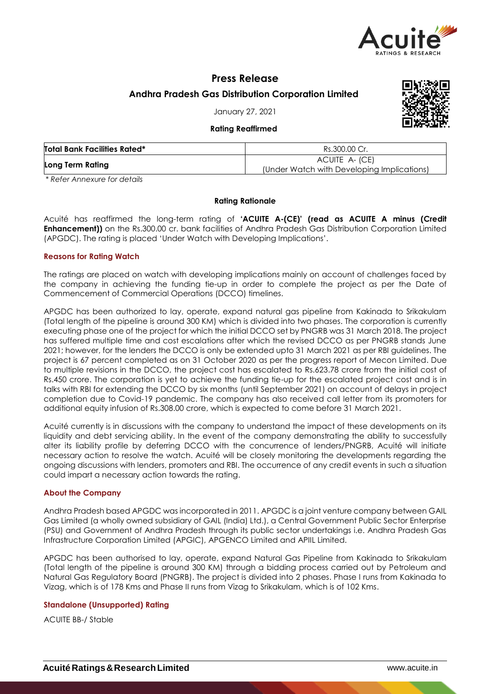

# **Press Release**

**Andhra Pradesh Gas Distribution Corporation Limited**

January 27, 2021

### **Rating Reaffirmed**



| <b>Total Bank Facilities Rated*</b> | Rs.300.00 Cr.                                                |  |  |
|-------------------------------------|--------------------------------------------------------------|--|--|
| Long Term Rating                    | ACUITE A- (CE)<br>(Under Watch with Developing Implications) |  |  |

*\* Refer Annexure for details*

## **Rating Rationale**

Acuité has reaffirmed the long-term rating of **'ACUITE A-(CE)' (read as ACUITE A minus (Credit Enhancement))** on the Rs.300.00 cr. bank facilities of Andhra Pradesh Gas Distribution Corporation Limited (APGDC). The rating is placed 'Under Watch with Developing Implications'.

## **Reasons for Rating Watch**

The ratings are placed on watch with developing implications mainly on account of challenges faced by the company in achieving the funding tie-up in order to complete the project as per the Date of Commencement of Commercial Operations (DCCO) timelines.

APGDC has been authorized to lay, operate, expand natural gas pipeline from Kakinada to Srikakulam (Total length of the pipeline is around 300 KM) which is divided into two phases. The corporation is currently executing phase one of the project for which the initial DCCO set by PNGRB was 31 March 2018. The project has suffered multiple time and cost escalations after which the revised DCCO as per PNGRB stands June 2021; however, for the lenders the DCCO is only be extended upto 31 March 2021 as per RBI guidelines. The project is 67 percent completed as on 31 October 2020 as per the progress report of Mecon Limited. Due to multiple revisions in the DCCO, the project cost has escalated to Rs.623.78 crore from the initial cost of Rs.450 crore. The corporation is yet to achieve the funding tie-up for the escalated project cost and is in talks with RBI for extending the DCCO by six months (until September 2021) on account of delays in project completion due to Covid-19 pandemic. The company has also received call letter from its promoters for additional equity infusion of Rs.308.00 crore, which is expected to come before 31 March 2021.

Acuité currently is in discussions with the company to understand the impact of these developments on its liquidity and debt servicing ability. In the event of the company demonstrating the ability to successfully alter its liability profile by deferring DCCO with the concurrence of lenders/PNGRB, Acuité will initiate necessary action to resolve the watch. Acuité will be closely monitoring the developments regarding the ongoing discussions with lenders, promoters and RBI. The occurrence of any credit events in such a situation could impart a necessary action towards the rating.

## **About the Company**

Andhra Pradesh based APGDC was incorporated in 2011. APGDC is a joint venture company between GAIL Gas Limited (a wholly owned subsidiary of GAIL (India) Ltd.), a Central Government Public Sector Enterprise (PSU) and Government of Andhra Pradesh through its public sector undertakings i.e. Andhra Pradesh Gas Infrastructure Corporation Limited (APGIC), APGENCO Limited and APIIL Limited.

APGDC has been authorised to lay, operate, expand Natural Gas Pipeline from Kakinada to Srikakulam (Total length of the pipeline is around 300 KM) through a bidding process carried out by Petroleum and Natural Gas Regulatory Board (PNGRB). The project is divided into 2 phases. Phase I runs from Kakinada to Vizag, which is of 178 Kms and Phase II runs from Vizag to Srikakulam, which is of 102 Kms.

## **Standalone (Unsupported) Rating**

ACUITE BB-/ Stable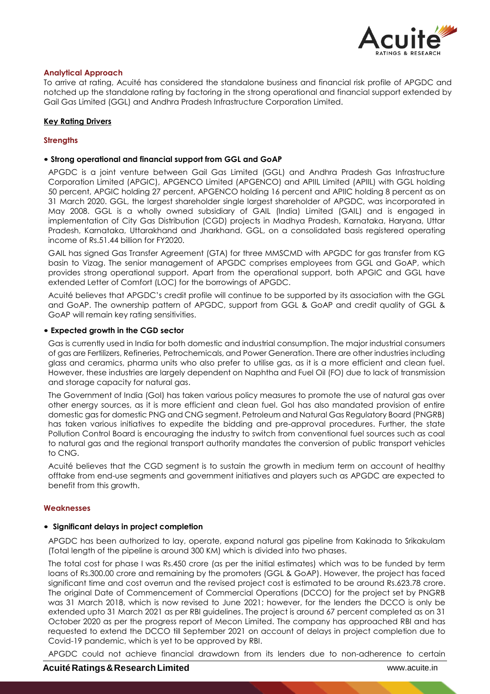

## **Analytical Approach**

To arrive at rating, Acuité has considered the standalone business and financial risk profile of APGDC and notched up the standalone rating by factoring in the strong operational and financial support extended by Gail Gas Limited (GGL) and Andhra Pradesh Infrastructure Corporation Limited.

## **Key Rating Drivers**

## **Strengths**

### • **Strong operational and financial support from GGL and GoAP**

APGDC is a joint venture between Gail Gas Limited (GGL) and Andhra Pradesh Gas Infrastructure Corporation Limited (APGIC), APGENCO Limited (APGENCO) and APIIL Limited (APIIL) with GGL holding 50 percent, APGIC holding 27 percent, APGENCO holding 16 percent and APIIC holding 8 percent as on 31 March 2020. GGL, the largest shareholder single largest shareholder of APGDC, was incorporated in May 2008. GGL is a wholly owned subsidiary of GAIL (India) Limited (GAIL) and is engaged in implementation of City Gas Distribution (CGD) projects in Madhya Pradesh, Karnataka, Haryana, Uttar Pradesh, Karnataka, Uttarakhand and Jharkhand. GGL, on a consolidated basis registered operating income of Rs.51.44 billion for FY2020.

GAIL has signed Gas Transfer Agreement (GTA) for three MMSCMD with APGDC for gas transfer from KG basin to Vizag. The senior management of APGDC comprises employees from GGL and GoAP, which provides strong operational support. Apart from the operational support, both APGIC and GGL have extended Letter of Comfort (LOC) for the borrowings of APGDC.

Acuité believes that APGDC's credit profile will continue to be supported by its association with the GGL and GoAP. The ownership pattern of APGDC, support from GGL & GoAP and credit quality of GGL & GoAP will remain key rating sensitivities.

### • **Expected growth in the CGD sector**

Gas is currently used in India for both domestic and industrial consumption. The major industrial consumers of gas are Fertilizers, Refineries, Petrochemicals, and Power Generation. There are other industries including glass and ceramics, pharma units who also prefer to utilise gas, as it is a more efficient and clean fuel. However, these industries are largely dependent on Naphtha and Fuel Oil (FO) due to lack of transmission and storage capacity for natural gas.

The Government of India (GoI) has taken various policy measures to promote the use of natural gas over other energy sources, as it is more efficient and clean fuel. GoI has also mandated provision of entire domestic gas for domestic PNG and CNG segment. Petroleum and Natural Gas Regulatory Board (PNGRB) has taken various initiatives to expedite the bidding and pre-approval procedures. Further, the state Pollution Control Board is encouraging the industry to switch from conventional fuel sources such as coal to natural gas and the regional transport authority mandates the conversion of public transport vehicles to CNG.

Acuité believes that the CGD segment is to sustain the growth in medium term on account of healthy offtake from end-use segments and government initiatives and players such as APGDC are expected to benefit from this growth.

### **Weaknesses**

### • **Significant delays in project completion**

APGDC has been authorized to lay, operate, expand natural gas pipeline from Kakinada to Srikakulam (Total length of the pipeline is around 300 KM) which is divided into two phases.

The total cost for phase I was Rs.450 crore (as per the initial estimates) which was to be funded by term loans of Rs.300.00 crore and remaining by the promoters (GGL & GoAP). However, the project has faced significant time and cost overrun and the revised project cost is estimated to be around Rs.623.78 crore. The original Date of Commencement of Commercial Operations (DCCO) for the project set by PNGRB was 31 March 2018, which is now revised to June 2021; however, for the lenders the DCCO is only be extended upto 31 March 2021 as per RBI guidelines. The project is around 67 percent completed as on 31 October 2020 as per the progress report of Mecon Limited. The company has approached RBI and has requested to extend the DCCO till September 2021 on account of delays in project completion due to Covid-19 pandemic, which is yet to be approved by RBI.

APGDC could not achieve financial drawdown from its lenders due to non-adherence to certain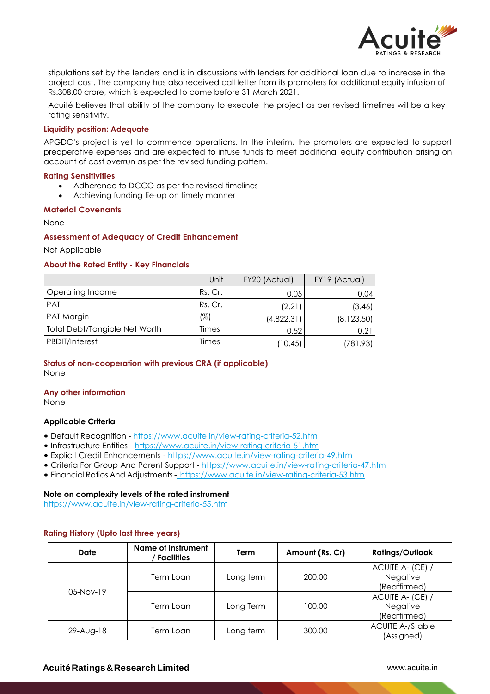

stipulations set by the lenders and is in discussions with lenders for additional loan due to increase in the project cost. The company has also received call letter from its promoters for additional equity infusion of Rs.308.00 crore, which is expected to come before 31 March 2021.

Acuité believes that ability of the company to execute the project as per revised timelines will be a key rating sensitivity.

### **Liquidity position: Adequate**

APGDC's project is yet to commence operations. In the interim, the promoters are expected to support preoperative expenses and are expected to infuse funds to meet additional equity contribution arising on account of cost overrun as per the revised funding pattern.

#### **Rating Sensitivities**

- Adherence to DCCO as per the revised timelines
- Achieving funding tie-up on timely manner

#### **Material Covenants**

#### None

### **Assessment of Adequacy of Credit Enhancement**

Not Applicable

### **About the Rated Entity - Key Financials**

|                                      | Unit    | FY20 (Actual) | FY19 (Actual) |
|--------------------------------------|---------|---------------|---------------|
| Operating Income                     | Rs. Cr. | 0.05          | 0.04          |
| <b>PAT</b>                           | Rs. Cr. | (2.21)        | (3.46)        |
| PAT Margin                           | (%)     | (4,822.31)    | (8, 123.50)   |
| <b>Total Debt/Tangible Net Worth</b> | Times   | 0.52          | 0.21          |
| PBDIT/Interest                       | Times   | (10.45)       | (781.93)      |

## **Status of non-cooperation with previous CRA (if applicable)** None

#### **Any other information**

None

#### **Applicable Criteria**

- Default Recognition https://www.acuite.in/view-rating-criteria-52.htm
- Infrastructure Entities https://www.acuite.in/view-rating-criteria-51.htm
- Explicit Credit Enhancements https://www.acuite.in/view-rating-criteria-49.htm
- Criteria For Group And Parent Support https://www.acuite.in/view-rating-criteria-47.htm
- Financial Ratios And Adjustments https://www.acuite.in/view-rating-criteria-53.htm

### **Note on complexity levels of the rated instrument**

https://www.acuite.in/view-rating-criteria-55.htm

## **Rating History (Upto last three years)**

| Date        | Name of Instrument<br><b>Facilities</b> | Term      | Amount (Rs. Cr) | <b>Ratings/Outlook</b>                       |
|-------------|-----------------------------------------|-----------|-----------------|----------------------------------------------|
|             | Term Loan                               | Long term | 200.00          | ACUITE A- (CE) /<br>Negative<br>(Reaffirmed) |
| $05-Nov-19$ | Term Loan                               | Long Term | 100.00          | ACUITE A- (CE) /<br>Negative<br>(Reaffirmed) |
| 29-Aug-18   | Term Loan                               | Long term | 300.00          | <b>ACUITE A-/Stable</b><br>(Assigned)        |